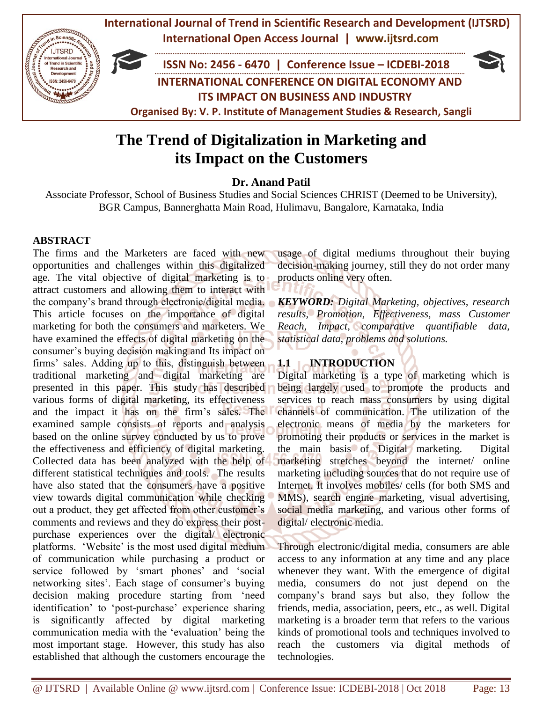

# **The Trend of Digitalization in Marketing and its Impact on the Customers**

# **Dr. Anand Patil**

Associate Professor, School of Business Studies and Social Sciences CHRIST (Deemed to be University), BGR Campus, Bannerghatta Main Road, Hulimavu, Bangalore, Karnataka, India

# **ABSTRACT**

The firms and the Marketers are faced with new opportunities and challenges within this digitalized age. The vital objective of digital marketing is to attract customers and allowing them to interact with the company's brand through electronic/digital media. This article focuses on the importance of digital marketing for both the consumers and marketers. We have examined the effects of digital marketing on the consumer's buying decision making and Its impact on firms' sales. Adding up to this, distinguish between traditional marketing and digital marketing are presented in this paper. This study has described various forms of digital marketing, its effectiveness and the impact it has on the firm's sales. The examined sample consists of reports and analysis based on the online survey conducted by us to prove the effectiveness and efficiency of digital marketing. Collected data has been analyzed with the help of different statistical techniques and tools. The results have also stated that the consumers have a positive view towards digital communication while checking out a product, they get affected from other customer's comments and reviews and they do express their postpurchase experiences over the digital/ electronic platforms. 'Website' is the most used digital medium of communication while purchasing a product or service followed by 'smart phones' and 'social networking sites'. Each stage of consumer's buying decision making procedure starting from 'need identification' to 'post-purchase' experience sharing is significantly affected by digital marketing communication media with the 'evaluation' being the most important stage. However, this study has also established that although the customers encourage the

usage of digital mediums throughout their buying decision-making journey, still they do not order many products online very often.

*KEYWORD: Digital Marketing, objectives, research results, Promotion, Effectiveness, mass Customer Reach, Impact, comparative quantifiable data, statistical data, problems and solutions.*

# **1.1 INTRODUCTION**

Digital marketing is a type of marketing which is being largely used to promote the products and services to reach mass consumers by using digital channels of communication. The utilization of the electronic means of media by the marketers for promoting their products or services in the market is the main basis of Digital marketing. Digital marketing stretches beyond the internet/ online marketing including sources that do not require use of Internet. It involves mobiles/ cells (for both SMS and MMS), search engine marketing, visual advertising, social media marketing, and various other forms of digital/ electronic media.

Through electronic/digital media, consumers are able access to any information at any time and any place whenever they want. With the emergence of digital media, consumers do not just depend on the company's brand says but also, they follow the friends, media, association, peers, etc., as well. Digital marketing is a broader term that refers to the various kinds of promotional tools and techniques involved to reach the customers via digital methods of technologies.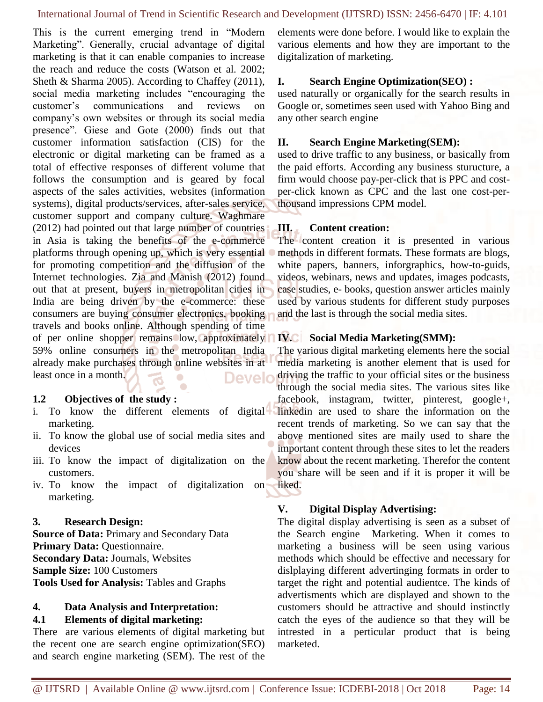This is the current emerging trend in "Modern Marketing". Generally, crucial advantage of digital marketing is that it can enable companies to increase the reach and reduce the costs (Watson et al. 2002; Sheth & Sharma 2005). According to Chaffey (2011), social media marketing includes "encouraging the customer's communications and reviews on company's own websites or through its social media presence". Giese and Gote (2000) finds out that customer information satisfaction (CIS) for the electronic or digital marketing can be framed as a total of effective responses of different volume that follows the consumption and is geared by focal aspects of the sales activities, websites (information systems), digital products/services, after-sales service, customer support and company culture. Waghmare (2012) had pointed out that large number of countries in Asia is taking the benefits of the e-commerce platforms through opening up, which is very essential for promoting competition and the diffusion of the Internet technologies. Zia and Manish (2012) found out that at present, buyers in metropolitan cities in India are being driven by the e-commerce: these consumers are buying consumer electronics, booking travels and books online. Although spending of time of per online shopper remains low, approximately 59% online consumers in the metropolitan India already make purchases through online websites in at least once in a month. Develo  $\bullet$ 

# **1.2 Objectives of the study :**

i. To know the different elements of digital marketing.

 $\bullet$ 

- ii. To know the global use of social media sites and devices
- iii. To know the impact of digitalization on the customers.
- iv. To know the impact of digitalization on marketing.

# **3. Research Design:**

**Source of Data:** Primary and Secondary Data **Primary Data:** Questionnaire. **Secondary Data:** Journals, Websites **Sample Size:** 100 Customers **Tools Used for Analysis:** Tables and Graphs

# **4. Data Analysis and Interpretation:**

# **4.1 Elements of digital marketing:**

There are various elements of digital marketing but the recent one are search engine optimization(SEO) and search engine marketing (SEM). The rest of the elements were done before. I would like to explain the various elements and how they are important to the digitalization of marketing.

# **I. Search Engine Optimization(SEO) :**

used naturally or organically for the search results in Google or, sometimes seen used with Yahoo Bing and any other search engine

# **II. Search Engine Marketing(SEM):**

used to drive traffic to any business, or basically from the paid efforts. According any business sturucture, a firm would choose pay-per-click that is PPC and costper-click known as CPC and the last one cost-perthousand impressions CPM model.

# **III. Content creation:**

The content creation it is presented in various methods in different formats. These formats are blogs, white papers, banners, inforgraphics, how-to-guids, videos, webinars, news and updates, images podcasts, case studies, e- books, question answer articles mainly used by various students for different study purposes and the last is through the social media sites.

# **IV. Social Media Marketing(SMM):**

The various digital marketing elements here the social media marketing is another element that is used for driving the traffic to your official sites or the business through the social media sites. The various sites like facebook, instagram, twitter, pinterest, google+, linkedin are used to share the information on the recent trends of marketing. So we can say that the above mentioned sites are maily used to share the important content through these sites to let the readers know about the recent marketing. Therefor the content you share will be seen and if it is proper it will be liked.

# **V. Digital Display Advertising:**

The digital display advertising is seen as a subset of the Search engine Marketing. When it comes to marketing a business will be seen using various methods which should be effective and necessary for dislplaying different advertinging formats in order to target the right and potential audientce. The kinds of advertisments which are displayed and shown to the customers should be attractive and should instinctly catch the eyes of the audience so that they will be intrested in a perticular product that is being marketed.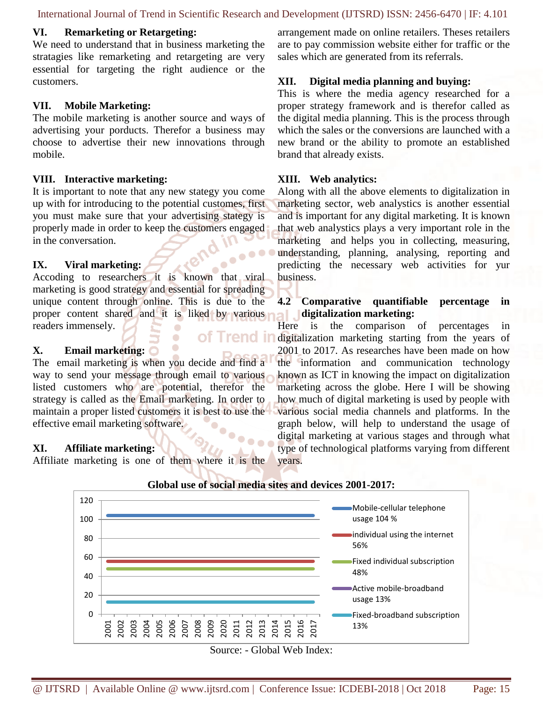International Journal of Trend in Scientific Research and Development (IJTSRD) ISSN: 2456-6470 | IF: 4.101

### **VI. Remarketing or Retargeting:**

We need to understand that in business marketing the stratagies like remarketing and retargeting are very essential for targeting the right audience or the customers.

#### **VII. Mobile Marketing:**

The mobile marketing is another source and ways of advertising your porducts. Therefor a business may choose to advertise their new innovations through mobile.

#### **VIII. Interactive marketing:**

It is important to note that any new stategy you come up with for introducing to the potential customes, first you must make sure that your advertising stategy is properly made in order to keep the customers engaged in the conversation.

### **IX. Viral marketing:**

Accoding to researchers it is known that viral marketing is good strategy and essential for spreading unique content through online. This is due to the proper content shared and it is liked by various readers immensely. of Trend ir

O

### **X. Email marketing:**

The email marketing is when you decide and find a way to send your message through email to various listed customers who are potential, therefor the strategy is called as the Email marketing. In order to maintain a proper listed customers it is best to use the effective email marketing software.

### **XI. Affiliate marketing:**

Affiliate marketing is one of them where it is the

arrangement made on online retailers. Theses retailers are to pay commission website either for traffic or the sales which are generated from its referrals.

#### **XII. Digital media planning and buying:**

This is where the media agency researched for a proper strategy framework and is therefor called as the digital media planning. This is the process through which the sales or the conversions are launched with a new brand or the ability to promote an established brand that already exists.

#### **XIII. Web analytics:**

Along with all the above elements to digitalization in marketing sector, web analystics is another essential and is important for any digital marketing. It is known that web analystics plays a very important role in the marketing and helps you in collecting, measuring, understanding, planning, analysing, reporting and predicting the necessary web activities for yur business.

# **4.2 Comparative quantifiable percentage in digitalization marketing:**

Here is the comparison of percentages in digitalization marketing starting from the years of 2001 to 2017. As researches have been made on how the information and communication technology known as ICT in knowing the impact on digitalization marketing across the globe. Here I will be showing how much of digital marketing is used by people with various social media channels and platforms. In the graph below, will help to understand the usage of digital marketing at various stages and through what type of technological platforms varying from different years.



#### **Global use of social media sites and devices 2001-2017:**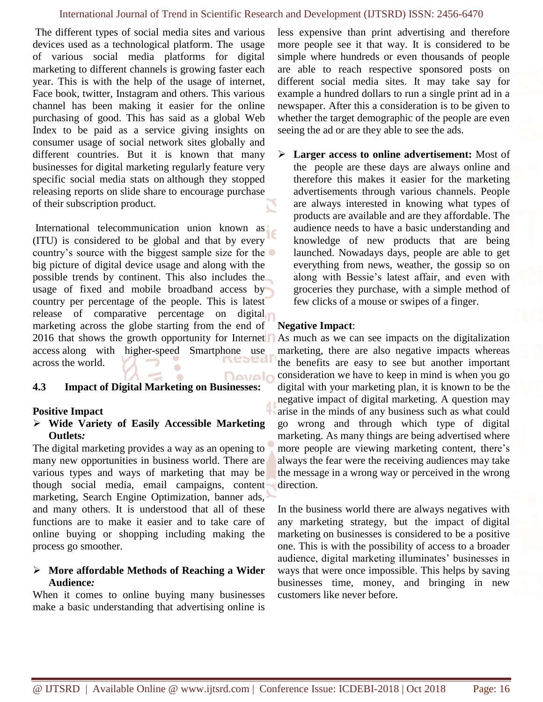### International Journal of Trend in Scientific Research and Development (IJTSRD) ISSN: 2456-6470

The different types of social media sites and various devices used as a technological platform. The usage of various social media platforms for digital marketing to different channels is growing faster each year. This is with the help of the usage of internet, Face book, twitter, Instagram and others. This various channel has been making it easier for the online purchasing of good. This has said as a global Web Index to be paid as a service giving insights on consumer usage of social network sites globally and different countries. But it is known that many businesses for digital marketing regularly feature very specific social media stats on although they stopped releasing reports on [slide share](http://www.slideshare.net/globalwebindex) to encourage purchase of their subscription product.

International telecommunication union known as (ITU) is considered to be global and that by every country's source with the biggest sample size for the big picture of digital device usage and along with the possible trends by continent. This also includes the usage of fixed and mobile broadband access by country per percentage of the people. This is latest release of comparative percentage on digital marketing across the globe starting from the end of 2016 that shows the growth opportunity for Internet access along with higher-speed Smartphone use across the world.

# **4.3 Impact of Digital Marketing on Businesses:**

### **Positive Impact**

### ➢ **Wide Variety of Easily Accessible Marketing Outlets***:*

The digital marketing provides a way as an opening to many new opportunities in business world. There are various types and ways of marketing that may be though social media, email campaigns, content marketing, Search Engine Optimization, banner ads, and many others. It is understood that all of these functions are to make it easier and to take care of online buying or shopping including making the process go smoother.

# ➢ **More affordable Methods of Reaching a Wider Audience***:*

When it comes to online buying many businesses make a basic understanding that advertising online is less expensive than print advertising and therefore more people see it that way. It is considered to be simple where hundreds or even thousands of people are able to reach respective sponsored posts on different social media sites. It may take say for example a hundred dollars to run a single print ad in a newspaper. After this a consideration is to be given to whether the target demographic of the people are even seeing the ad or are they able to see the ads.

➢ **Larger access to online advertisement:** Most of the people are these days are always online and therefore this makes it easier for the marketing advertisements through various channels. People are always interested in knowing what types of products are available and are they affordable. The audience needs to have a basic understanding and knowledge of new products that are being launched. Nowadays days, people are able to get everything from news, weather, the gossip so on along with Bessie's latest affair, and even with groceries they purchase, with a simple method of few clicks of a mouse or swipes of a finger.

### **Negative Impact**:

Develo

As much as we can see impacts on the digitalization marketing, there are also negative impacts whereas the benefits are easy to see but another important consideration we have to keep in mind is when you go digital with your marketing plan, it is known to be the negative impact of digital marketing. A question may arise in the minds of any business such as what could go wrong and through which type of digital marketing. As many things are being advertised where more people are viewing marketing content, there's always the fear were the receiving audiences may take the message in a wrong way or perceived in the wrong direction.

In the business world there are always negatives with any marketing strategy, but the impact of digital marketing on businesses is considered to be a positive one. This is with the possibility of access to a broader audience, digital marketing illuminates' businesses in ways that were once impossible. This helps by saving businesses time, money, and bringing in new customers like never before.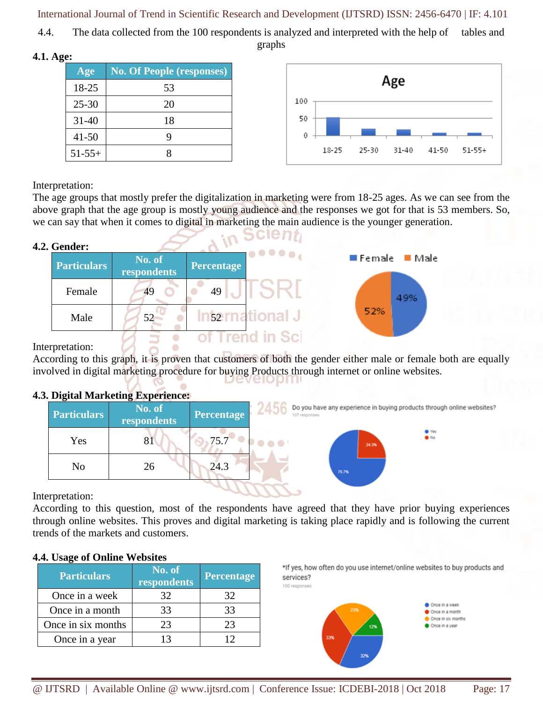International Journal of Trend in Scientific Research and Development (IJTSRD) ISSN: 2456-6470 | IF: 4.101

4.4. The data collected from the 100 respondents is analyzed and interpreted with the help of tables and graphs

**4.1. Age:**

| Age       | <b>No. Of People (responses)</b> |
|-----------|----------------------------------|
| 18-25     | 53                               |
| $25 - 30$ | 20                               |
| $31 - 40$ | 18                               |
| $41 - 50$ | g                                |
| $51-55+$  |                                  |



Interpretation:

The age groups that mostly prefer the digitalization in marketing were from 18-25 ages. As we can see from the above graph that the age group is mostly young audience and the responses we got for that is 53 members. So, we can say that when it comes to digital in marketing the main audience is the younger generation.

# **4.2. Gender:**

| Genuel.            |                       |                   |              |             |
|--------------------|-----------------------|-------------------|--------------|-------------|
| <b>Particulars</b> | No. of<br>respondents | <b>Percentage</b> | <b>AODOA</b> | Female Male |
| Female             | 49                    | 49                |              | 49%         |
| Male               | 52                    | 52                | ational Ji   | 52%         |
|                    |                       |                   |              |             |

Interpretation:

According to this graph, it is proven that customers of both the gender either male or female both are equally involved in digital marketing procedure for buying Products through internet or online websites.

# **4.3. Digital Marketing Experience:**

| <b>Particulars</b> | No. of<br>respondents | Percentage | ---<br>107 responses      | Do you have any experience in buying products through online websites? |
|--------------------|-----------------------|------------|---------------------------|------------------------------------------------------------------------|
| Yes                | 81                    | 75.7       | $\bullet\bullet\bullet^+$ | <b>O</b> Yes<br>$\bullet$ No<br>24.3%                                  |
| No                 | 26                    | 24.3       | 75.7%                     |                                                                        |

Interpretation:

According to this question, most of the respondents have agreed that they have prior buying experiences through online websites. This proves and digital marketing is taking place rapidly and is following the current trends of the markets and customers.

# **4.4. Usage of Online Websites**

| <b>Particulars</b> | No. of<br>respondents | <b>Percentage</b> |
|--------------------|-----------------------|-------------------|
| Once in a week     | 32                    |                   |
| Once in a month    | 33                    | 33                |
| Once in six months | 23                    | フ3                |
| Once in a year     |                       |                   |

\*If yes, how often do you use internet/online websites to buy products and services? 100 responses

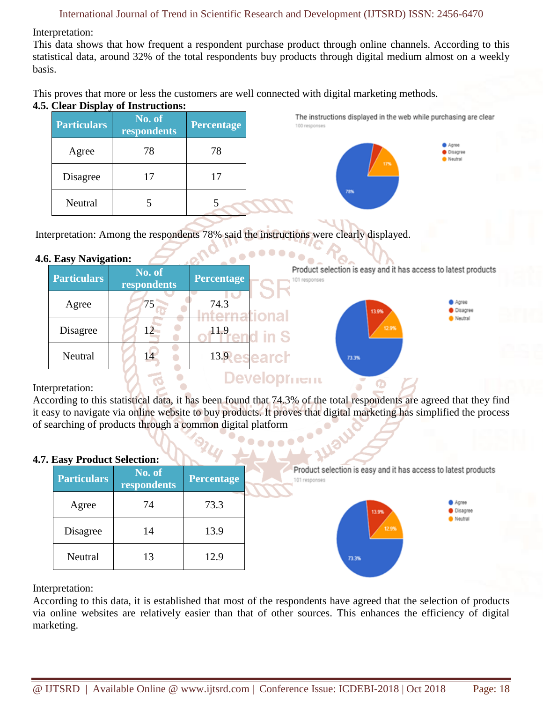Interpretation:

This data shows that how frequent a respondent purchase product through online channels. According to this statistical data, around 32% of the total respondents buy products through digital medium almost on a weekly basis.

This proves that more or less the customers are well connected with digital marketing methods.

# **4.5. Clear Display of Instructions:**

| <b>Particulars</b> | No. of<br>respondents | <b>Percentage</b> |
|--------------------|-----------------------|-------------------|
| Agree              | 78                    | 78                |
| Disagree           | 17                    | 17                |
| Neutral            |                       |                   |

The instructions displayed in the web while purchasing are clear 100 responses

> **O** Agree Oisagree Neutral

Interpretation: Among the respondents 78% said the instructions were clearly displayed.

# **4.6. Easy Navigation:**

| <b>Particulars</b> | No. of<br>respondents | <b>Percentage</b> | Product selection is easy and it has access to latest products<br>101 responses |                                     |
|--------------------|-----------------------|-------------------|---------------------------------------------------------------------------------|-------------------------------------|
| Agree              | 75                    | 74.3              | 13.9%<br><i><b>fornational</b></i>                                              | <b>O</b> Agree<br><b>O</b> Disagree |
| Disagree           |                       | 11.9              | 12.9%<br>d in S                                                                 | Neutral                             |
| Neutral            | 14                    |                   | 13.Research<br>73.3%                                                            |                                     |
|                    |                       |                   | )evelopr <del>nem</del>                                                         |                                     |

**COOPPORT** 

# Interpretation:

According to this statistical data, it has been found that 74.3% of the total respondents are agreed that they find it easy to navigate via online website to buy products. It proves that digital marketing has simplified the process of searching of products through a common digital platform

# **4.7. Easy Product Selection:**

| $\frac{1}{2}$ = $\frac{1}{2}$ = $\frac{1}{2}$ $\frac{1}{2}$ = $\frac{1}{2}$ $\frac{1}{2}$ = $\frac{1}{2}$<br><b>Particulars</b> | No. of<br>respondents | <b>Percentage</b> | Product selection is easy and it has access to latest products<br>101 responses |
|---------------------------------------------------------------------------------------------------------------------------------|-----------------------|-------------------|---------------------------------------------------------------------------------|
| Agree                                                                                                                           | 74                    | 73.3              | Agree<br><b>O</b> Disagree<br>13.9%                                             |
| Disagree                                                                                                                        | 14                    | 13.9              | Neutral<br>12.9%                                                                |
| Neutral                                                                                                                         | 13                    | 12.9              | 73.3%                                                                           |

Interpretation:

According to this data, it is established that most of the respondents have agreed that the selection of products via online websites are relatively easier than that of other sources. This enhances the efficiency of digital marketing.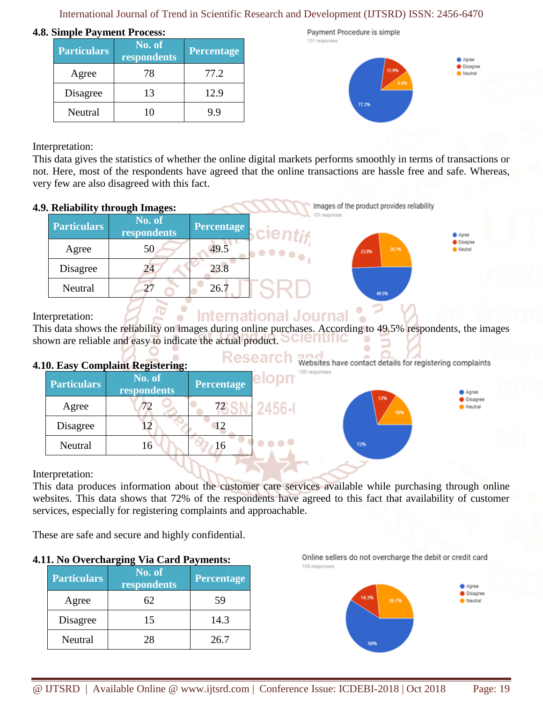International Journal of Trend in Scientific Research and Development (IJTSRD) ISSN: 2456-6470

### **4.8. Simple Payment Process:**

| <b>Particulars</b> | No. of<br>respondents | <b>Percentage</b> |
|--------------------|-----------------------|-------------------|
| Agree              | 78                    | 77.2              |
| Disagree           | 13                    | 12.9              |
| Neutral            |                       | 99                |

Payment Procedure is simple 101 responses



Interpretation:

This data gives the statistics of whether the online digital markets performs smoothly in terms of transactions or not. Here, most of the respondents have agreed that the online transactions are hassle free and safe. Whereas, very few are also disagreed with this fact.

# **4.9. Reliability through Images:**

| <b>Particulars</b> | No. of<br>respondents | <b>Percentage</b> | 101 responses<br>-clentif - |                | <b>O</b> Agree               |
|--------------------|-----------------------|-------------------|-----------------------------|----------------|------------------------------|
| Agree              | 50                    | 49.5              | 40000 <sub>0</sub> .        | 26.7%<br>23.8% | <b>O</b> Disagree<br>Neutral |
| Disagree           | 24                    | 23.8              |                             |                |                              |
| Neutral            | 27                    | 26.7              |                             | 49.5%          |                              |

# Interpretation:

# **International Journal**

This data shows the reliability on images during online purchases. According to 49.5% respondents, the images shown are reliable and easy to indicate the actual product. CIENTIT ۰

# **4.10. Easy Complaint Registering:**

| <b>Particulars</b> | No. of<br>respondents | <b>Percentage</b> | elopr |
|--------------------|-----------------------|-------------------|-------|
| Agree              |                       | 72.               |       |
| Disagree           |                       |                   |       |
| Neutral            | 6                     |                   |       |

Research Websites have contact details for registering complaints

> Agree **O** Disagree Neutral

Images of the product provides reliability

# Interpretation:

This data produces information about the customer care services available while purchasing through online websites. This data shows that 72% of the respondents have agreed to this fact that availability of customer services, especially for registering complaints and approachable.

These are safe and secure and highly confidential.

# **4.11. No Overcharging Via Card Payments:**

| <b>Particulars</b> | No. of<br>respondents | Percentage |
|--------------------|-----------------------|------------|
| Agree              | 62                    | 59         |
| Disagree           | 15                    | 14.3       |
| Neutral            | 28                    | 26.7       |

Online sellers do not overcharge the debit or credit card 105 responses

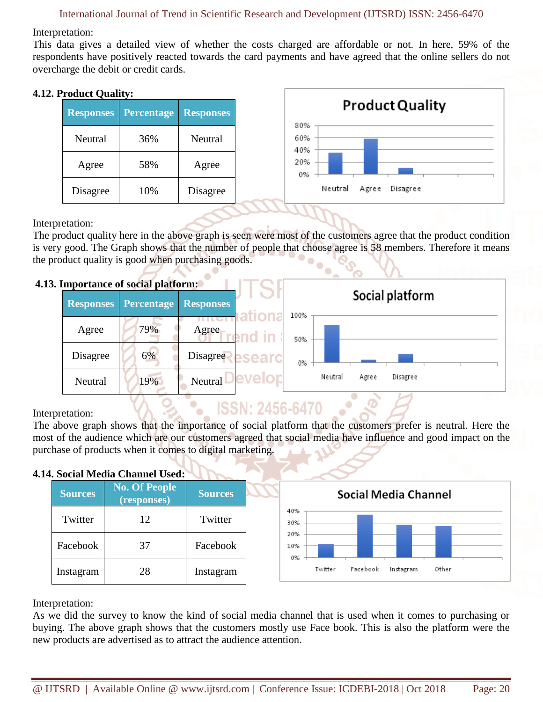### International Journal of Trend in Scientific Research and Development (IJTSRD) ISSN: 2456-6470

Interpretation:

This data gives a detailed view of whether the costs charged are affordable or not. In here, 59% of the respondents have positively reacted towards the card payments and have agreed that the online sellers do not overcharge the debit or credit cards.

# **4.12. Product Quality:**

| 1 Tuutti Vuality. |            |                  |                              |
|-------------------|------------|------------------|------------------------------|
| <b>Responses</b>  | Percentage | <b>Responses</b> | <b>Product Quality</b>       |
| Neutral           | 36%        | <b>Neutral</b>   | 80%<br>60%<br>40%            |
| Agree             | 58%        | Agree            | 20%<br>0%                    |
| Disagree          | 10%        | Disagree         | Neutral<br>Agree<br>Disagree |
|                   |            |                  |                              |

Interpretation:

The product quality here in the above graph is seen were most of the customers agree that the product condition is very good. The Graph shows that the number of people that choose agree is 58 members. Therefore it means the product quality is good when purchasing goods.

УT

# **4.13. Importance of social platform:**

| ппрогланее от востат растотны |            |                  |        |      |         |       | Social platform |  |
|-------------------------------|------------|------------------|--------|------|---------|-------|-----------------|--|
| <b>Responses</b>              | Percentage | <b>Responses</b> |        | 100% |         |       |                 |  |
| Agree                         | 79%        | Agree            | ∡ in ' | 50%  |         |       |                 |  |
| Disagree                      | 6%         | <b>Disagree</b>  |        | 0%   |         |       |                 |  |
| Neutral                       | 19%        | Neutral          |        |      | Neutral | Agree | Disagree        |  |
|                               |            |                  |        |      |         |       |                 |  |

# Interpretation:

The above graph shows that the importance of social platform that the customers prefer is neutral. Here the most of the audience which are our customers agreed that social media have influence and good impact on the purchase of products when it comes to digital marketing.

**ISSN: 2456-6470** 

# **4.14. Social Media Channel Used:**

| т. восна глеана спаннег свеа. |                |                                     |                |                                           |
|-------------------------------|----------------|-------------------------------------|----------------|-------------------------------------------|
|                               | <b>Sources</b> | <b>No. Of People</b><br>(responses) | <b>Sources</b> | Social Media Channel                      |
|                               | Twitter        | 12                                  | Twitter        | 40%<br>30%                                |
|                               | Facebook       | 37                                  | Facebook       | 20%<br>10%<br>0%                          |
|                               | Instagram      | 28                                  | Instagram      | Other<br>Twitter<br>Facebook<br>Instagram |

Interpretation:

As we did the survey to know the kind of social media channel that is used when it comes to purchasing or buying. The above graph shows that the customers mostly use Face book. This is also the platform were the new products are advertised as to attract the audience attention.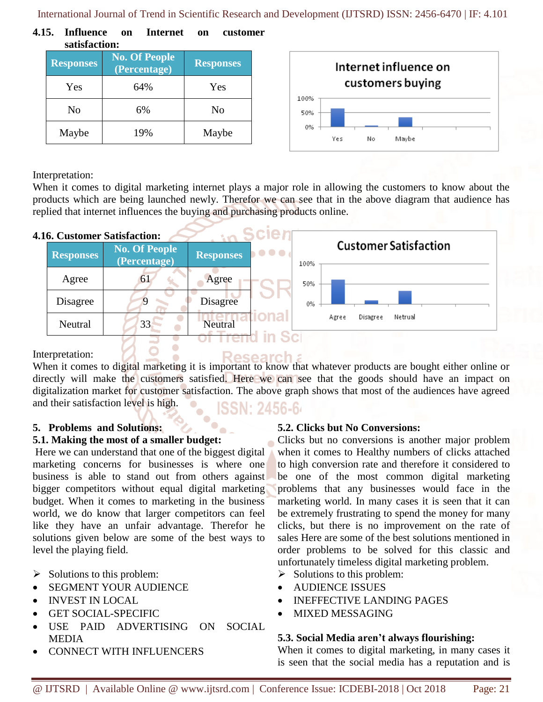International Journal of Trend in Scientific Research and Development (IJTSRD) ISSN: 2456-6470 | IF: 4.101

**4.15. Influence on Internet on customer satisfaction:**

| <u>buubiuvuvii:</u> |                                      |                  |  |  |  |  |
|---------------------|--------------------------------------|------------------|--|--|--|--|
| <b>Responses</b>    | <b>No. Of People</b><br>(Percentage) | <b>Responses</b> |  |  |  |  |
| Yes                 | 64%                                  | Yes              |  |  |  |  |
| No                  | 6%                                   | No               |  |  |  |  |
| Maybe               | 19%                                  | Maybe            |  |  |  |  |



Interpretation:

When it comes to digital marketing internet plays a major role in allowing the customers to know about the products which are being launched newly. Therefor we can see that in the above diagram that audience has replied that internet influences the buying and purchasing products online.

**Scient** 

# **4.16. Customer Satisfaction:**

|                  | w. Uustonier Sausiacuon.             | ----                                 |                                      |
|------------------|--------------------------------------|--------------------------------------|--------------------------------------|
| <b>Responses</b> | <b>No. Of People</b><br>(Percentage) | .<br><b>Responses</b>                | <b>Customer Satisfaction</b><br>100% |
| Agree            | 6 <sub>1</sub>                       | Agree                                | 50%                                  |
| Disagree         |                                      | <b>Disagree</b>                      | 0%                                   |
| Neutral          | 33                                   | <b>Neutral</b><br>$2.77$ where $4.5$ | Netrual<br>Disagree<br>Agree         |
|                  |                                      |                                      |                                      |

# Interpretation:

When it comes to digital marketing it is important to know that whatever products are bought either online or directly will make the customers satisfied. Here we can see that the goods should have an impact on digitalization market for customer satisfaction. The above graph shows that most of the audiences have agreed and their satisfaction level is high. N: 2456-64

Research

**5. Problems and Solutions:**

# **5.1. Making the most of a smaller budget:**

Here we can understand that one of the biggest digital marketing concerns for businesses is where one business is able to stand out from others against bigger competitors without equal digital marketing budget. When it comes to marketing in the business world, we do know that larger competitors can feel like they have an unfair advantage. Therefor he solutions given below are some of the best ways to level the playing field.

- $\triangleright$  Solutions to this problem:
- SEGMENT YOUR AUDIENCE
- INVEST IN LOCAL
- **GET SOCIAL-SPECIFIC**
- USE PAID ADVERTISING ON SOCIAL MEDIA
- CONNECT WITH INFLUENCERS

# **5.2. Clicks but No Conversions:**

Clicks but no conversions is another major problem when it comes to Healthy numbers of clicks attached to high conversion rate and therefore it considered to be one of the most common digital marketing problems that any businesses would face in the marketing world. In many cases it is seen that it can be extremely frustrating to spend the money for many clicks, but there is no improvement on the rate of sales Here are some of the best solutions mentioned in order problems to be solved for this classic and unfortunately timeless digital marketing problem.

- $\triangleright$  Solutions to this problem:
- AUDIENCE ISSUES
- INEFFECTIVE LANDING PAGES
- MIXED MESSAGING

# **5.3. Social Media aren't always flourishing:**

When it comes to digital marketing, in many cases it is seen that the social media has a reputation and is